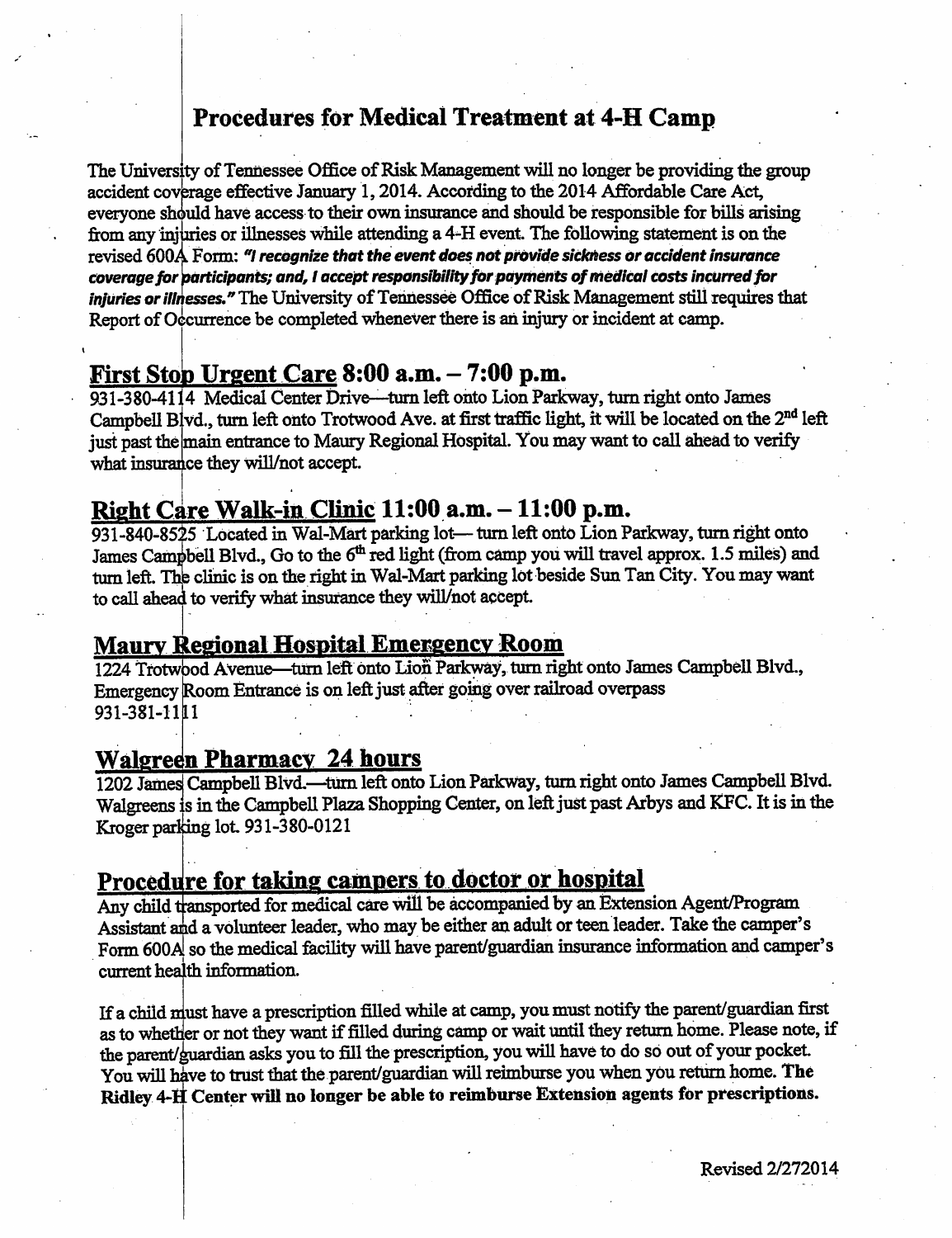## *Procedures for Medical Treatment at 4-H Camp*

*The University ofTennessee Office ofRisk Managementwill no longer be providing the group accident coverage effective January 1,2014. According to the 2014 Affordable Care Act, should have access to their own insurance and should be responsible for bills arising everyone or illnesses while attending a 4^H event. The following statement is on the from any injuries Form: "/ recognize that the event does not provide sickness or accident insurance revised 600A odrticipants; and, Iacceptresponsibilityfor payments ofmedical costs incurred for coverage for injuries* or *illnesses.*<sup>*"*</sup> The University of Tennessee Office of Risk Management still requires that Report of Occurrence be completed whenever there is an injury or incident at camp.

## *FirstStob Urgent Care 8:00 a.m. - 7:00 p.m.*

*931-380-4114 Medical Center Drive-—turn left onto Lion Parkway,turn right onto James Campbell* Blvd., turn left onto Trotwood Ave. at first traffic light, it will be located on the 2<sup>nd</sup> left *main entrance to Maury Regional Hospital. You maywant to call ahead to verify just pastthe what insurance they will/not accept.*

## *Right Care Walk-in Clinic 11:00 a.m. -11:00 p.m.*

*931-840-8515 Locatedin Wal-Mart parkinglot— turn left onto Lion Parkway,turn right onto James Campbell Blvd., Go to the 6th red light (from camp youwilltravel approx. 1.5 miles) and turn left.Thb clinicis on the rightinWal-Mart parking lotbeside Sun Tan City.You may want to callahead to verifywhat insurance they will/not accept*

## *Maurv Regional Hospital Emergency Room*

*Emergency Room Entranceis on left just after going over railroad overpass 931-381-111 1224 Trotwood Avenue—turn left onto lion Parkway, turn right onto James Campbell Blvd.,* **i**  $\mathbf{1}$   $\mathbf{1}$   $\mathbf{1}$   $\mathbf{1}$   $\mathbf{1}$   $\mathbf{1}$   $\mathbf{1}$   $\mathbf{1}$   $\mathbf{1}$ 

#### *Walgreen Pharmacy 24 hours*

*1202 Jamesj Campbell Blvd.—turn left onto Lion Parkway, turn right onto James Campbell Blvd. Walgreens is intheCampbell Plaza Shopping Center, onleftjustpast Arbys and KFC. Itis inthe Kroger parljing lot931-380-0121*

## *Procedure for taking campers to doctor or hospital*

*Any child transported for medical care wiH be accompanied byan Extension Agent/Program Assistant aidavolunteerleader, who may be either an adult orteen leader. Take the camper's Form 600A[so the medical facility will have parent/guardian insurance information and camper's current health information.*

*If achild musthave aprescription filled while atcamp, youmustnotifythe parent/guardian first astowhether ornottheywant if filled during camp orwait until theyreturn home. Please note, if the parent/guardian asks you to fill the prescription, youwill have to do so out of your pocket Youwillhive totrust that the parent/guardianwillreimburse youwhenyoureturn home. The Ridley4-F Centerwill no longerbe ableto reimburse Extension agents for prescriptions.*